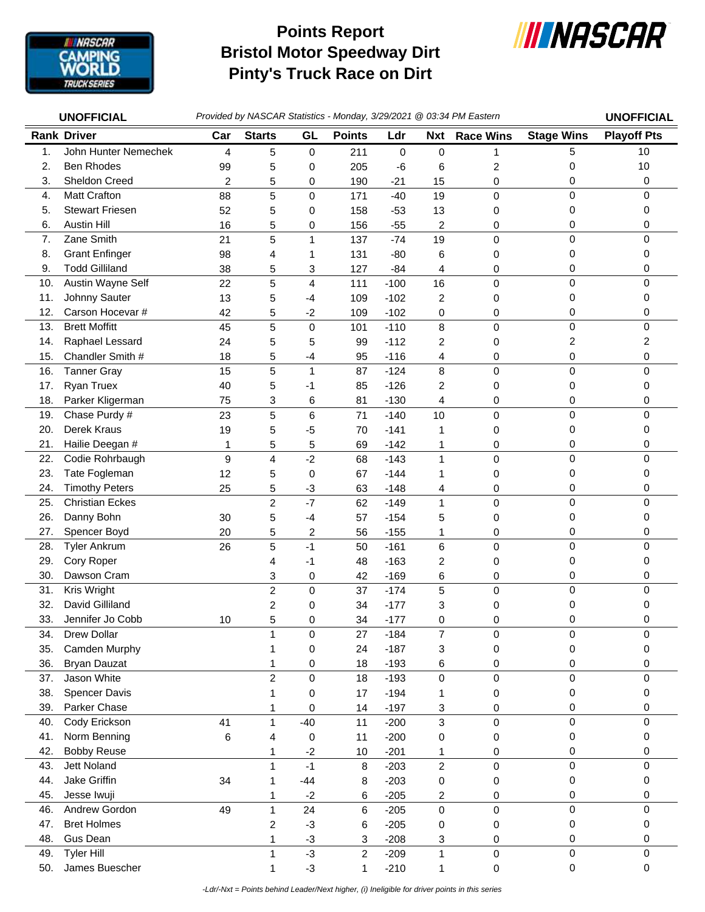

## **Bristol Motor Speedway Dirt Pinty's Truck Race on Dirt Points Report**



|     | <b>UNOFFICIAL</b>      | Provided by NASCAR Statistics - Monday, 3/29/2021 @ 03:34 PM Eastern |                |                         |                |             |                |                  | <b>UNOFFICIAL</b> |                    |
|-----|------------------------|----------------------------------------------------------------------|----------------|-------------------------|----------------|-------------|----------------|------------------|-------------------|--------------------|
|     | <b>Rank Driver</b>     | Car                                                                  | <b>Starts</b>  | GL                      | <b>Points</b>  | Ldr         | <b>Nxt</b>     | <b>Race Wins</b> | <b>Stage Wins</b> | <b>Playoff Pts</b> |
| 1.  | John Hunter Nemechek   | $\overline{4}$                                                       | 5              | 0                       | 211            | $\mathbf 0$ | $\mathbf 0$    | 1                | 5                 | 10                 |
| 2.  | <b>Ben Rhodes</b>      | 99                                                                   | 5              | 0                       | 205            | -6          | 6              | 2                | 0                 | 10                 |
| 3.  | Sheldon Creed          | $\overline{c}$                                                       | 5              | 0                       | 190            | $-21$       | 15             | 0                | 0                 | 0                  |
| 4.  | <b>Matt Crafton</b>    | 88                                                                   | 5              | 0                       | 171            | $-40$       | 19             | $\mathbf 0$      | 0                 | 0                  |
| 5.  | <b>Stewart Friesen</b> | 52                                                                   | 5              | 0                       | 158            | $-53$       | 13             | 0                | 0                 | 0                  |
| 6.  | <b>Austin Hill</b>     | 16                                                                   | 5              | 0                       | 156            | $-55$       | 2              | 0                | 0                 | 0                  |
| 7.  | Zane Smith             | 21                                                                   | 5              | 1                       | 137            | $-74$       | 19             | $\mathbf 0$      | 0                 | 0                  |
| 8.  | <b>Grant Enfinger</b>  | 98                                                                   | 4              | 1                       | 131            | $-80$       | 6              | 0                | 0                 | 0                  |
| 9.  | <b>Todd Gilliland</b>  | 38                                                                   | 5              | 3                       | 127            | $-84$       | 4              | 0                | 0                 | 0                  |
| 10. | Austin Wayne Self      | 22                                                                   | 5              | $\overline{4}$          | 111            | $-100$      | 16             | $\mathbf 0$      | 0                 | 0                  |
| 11. | Johnny Sauter          | 13                                                                   | 5              | -4                      | 109            | $-102$      | 2              | 0                | 0                 | 0                  |
| 12. | Carson Hocevar #       | 42                                                                   | 5              | $-2$                    | 109            | $-102$      | 0              | 0                | 0                 | 0                  |
| 13. | <b>Brett Moffitt</b>   | 45                                                                   | 5              | $\pmb{0}$               | 101            | $-110$      | 8              | $\mathbf 0$      | $\mathsf 0$       | 0                  |
| 14. | Raphael Lessard        | 24                                                                   | 5              | 5                       | 99             | $-112$      | $\overline{c}$ | 0                | 2                 | 2                  |
| 15. | Chandler Smith #       | 18                                                                   | 5              | $-4$                    | 95             | $-116$      | 4              | 0                | 0                 | 0                  |
| 16. | <b>Tanner Gray</b>     | 15                                                                   | 5              | $\mathbf 1$             | 87             | $-124$      | 8              | $\mathbf 0$      | $\mathsf 0$       | $\Omega$           |
| 17. | <b>Ryan Truex</b>      | 40                                                                   | 5              | -1                      | 85             | $-126$      | 2              | 0                | 0                 | 0                  |
| 18. | Parker Kligerman       | 75                                                                   | 3              | 6                       | 81             | $-130$      | 4              | 0                | 0                 | 0                  |
| 19. | Chase Purdy #          | 23                                                                   | 5              | 6                       | 71             | $-140$      | 10             | 0                | 0                 | 0                  |
| 20. | Derek Kraus            | 19                                                                   | 5              | $-5$                    | 70             | $-141$      | 1              | 0                | 0                 | 0                  |
| 21. | Hailie Deegan #        | 1                                                                    | 5              | 5                       | 69             | $-142$      | 1              | 0                | 0                 | 0                  |
| 22. | Codie Rohrbaugh        | $\boldsymbol{9}$                                                     | 4              | $-2$                    | 68             | $-143$      | $\mathbf{1}$   | $\mathbf 0$      | 0                 | 0                  |
| 23. | Tate Fogleman          | 12                                                                   | 5              | 0                       | 67             | $-144$      | 1              | 0                | 0                 | 0                  |
| 24. | <b>Timothy Peters</b>  | 25                                                                   | 5              | $-3$                    | 63             | $-148$      | 4              | 0                | 0                 | 0                  |
| 25. | <b>Christian Eckes</b> |                                                                      | $\overline{c}$ | $-7$                    | 62             | $-149$      | $\mathbf{1}$   | $\mathbf 0$      | 0                 | 0                  |
| 26. | Danny Bohn             | 30                                                                   | 5              | $-4$                    | 57             | $-154$      | 5              | $\mathbf 0$      | 0                 | 0                  |
| 27. | Spencer Boyd           | 20                                                                   | 5              | $\overline{\mathbf{c}}$ | 56             | $-155$      | 1              | 0                | 0                 | 0                  |
| 28. | <b>Tyler Ankrum</b>    | 26                                                                   | 5              | $-1$                    | 50             | $-161$      | 6              | 0                | 0                 | 0                  |
| 29. | Cory Roper             |                                                                      | 4              | -1                      | 48             | $-163$      | $\overline{c}$ | 0                | 0                 | 0                  |
| 30. | Dawson Cram            |                                                                      | 3              | 0                       | 42             | $-169$      | 6              | 0                | 0                 | 0                  |
| 31. | Kris Wright            |                                                                      | $\overline{c}$ | 0                       | 37             | $-174$      | 5              | 0                | $\mathsf 0$       | 0                  |
| 32. | David Gilliland        |                                                                      | 2              | 0                       | 34             | $-177$      | 3              | 0                | 0                 | 0                  |
| 33. | Jennifer Jo Cobb       | 10                                                                   | 5              | 0                       | 34             | $-177$      | 0              | 0                | $\Omega$          | 0                  |
| 34. | Drew Dollar            |                                                                      | 1              | $\mathsf 0$             | 27             | $-184$      | $\overline{7}$ | $\pmb{0}$        | 0                 | 0                  |
| 35. | Camden Murphy          |                                                                      | 1              | 0                       | 24             | $-187$      | 3              | 0                | 0                 | 0                  |
| 36. | <b>Bryan Dauzat</b>    |                                                                      | 1              | 0                       | 18             | $-193$      | 6              | 0                | 0                 | 0                  |
| 37. | Jason White            |                                                                      | $\overline{c}$ | 0                       | 18             | $-193$      | $\pmb{0}$      | $\pmb{0}$        | 0                 | 0                  |
| 38. | Spencer Davis          |                                                                      | 1              | 0                       | 17             | $-194$      | 1              | 0                | 0                 | 0                  |
| 39. | Parker Chase           |                                                                      | 1              | 0                       | 14             | $-197$      | 3              | 0                | 0                 | 0                  |
| 40. | Cody Erickson          | 41                                                                   | 1              | $-40$                   | 11             | $-200$      | 3              | 0                | 0                 | 0                  |
| 41. | Norm Benning           | 6                                                                    | 4              | 0                       | 11             | $-200$      | 0              | 0                | 0                 | 0                  |
| 42. | <b>Bobby Reuse</b>     |                                                                      | 1              | $-2$                    | $10$           | $-201$      | 1              | 0                | 0                 | 0                  |
| 43. | Jett Noland            |                                                                      | 1              | $-1$                    | 8              | $-203$      | $\overline{c}$ | $\pmb{0}$        | 0                 | 0                  |
| 44. | Jake Griffin           | 34                                                                   | 1              | $-44$                   | 8              | $-203$      | 0              | 0                | 0                 | 0                  |
| 45. | Jesse Iwuji            |                                                                      | 1              | $-2$                    | 6              | $-205$      | 2              | 0                | 0                 | 0                  |
| 46. | Andrew Gordon          | 49                                                                   | 1              | 24                      | 6              | $-205$      | $\pmb{0}$      | $\pmb{0}$        | $\mathsf 0$       | $\mathbf 0$        |
| 47. | <b>Bret Holmes</b>     |                                                                      | 2              | $-3$                    | 6              | $-205$      | 0              | 0                | 0                 | 0                  |
| 48. | Gus Dean               |                                                                      | 1              | $-3$                    | 3              | $-208$      | 3              | 0                | 0                 | 0                  |
| 49. | <b>Tyler Hill</b>      |                                                                      | 1              | $-3$                    | $\overline{2}$ | $-209$      | 1              | 0                | 0                 | $\mathbf 0$        |
| 50. | James Buescher         |                                                                      | 1              | $-3$                    | 1              | $-210$      | 1              | 0                | 0                 | 0                  |